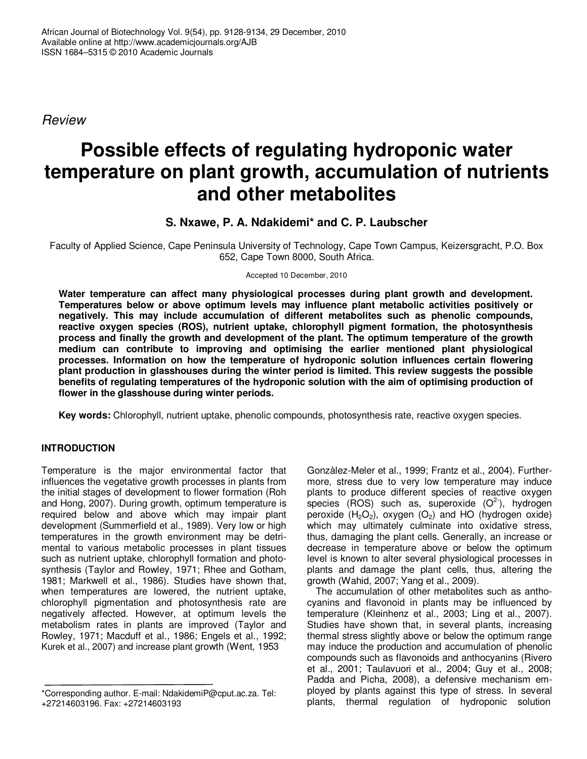*Review*

# **Possible effects of regulating hydroponic water temperature on plant growth, accumulation of nutrients and other metabolites**

# **S. Nxawe, P. A. Ndakidemi\* and C. P. Laubscher**

Faculty of Applied Science, Cape Peninsula University of Technology, Cape Town Campus, Keizersgracht, P.O. Box 652, Cape Town 8000, South Africa.

Accepted 10 December, 2010

**Water temperature can affect many physiological processes during plant growth and development. Temperatures below or above optimum levels may influence plant metabolic activities positively or negatively. This may include accumulation of different metabolites such as phenolic compounds, reactive oxygen species (ROS), nutrient uptake, chlorophyll pigment formation, the photosynthesis process and finally the growth and development of the plant. The optimum temperature of the growth medium can contribute to improving and optimising the earlier mentioned plant physiological processes. Information on how the temperature of hydroponic solution influences certain flowering plant production in glasshouses during the winter period is limited. This review suggests the possible benefits of regulating temperatures of the hydroponic solution with the aim of optimising production of flower in the glasshouse during winter periods.**

**Key words:** Chlorophyll, nutrient uptake, phenolic compounds, photosynthesis rate, reactive oxygen species.

# **INTRODUCTION**

Temperature is the major environmental factor that influences the vegetative growth processes in plants from the initial stages of development to flower formation (Roh and Hong, 2007). During growth, optimum temperature is required below and above which may impair plant development (Summerfield et al., 1989). Very low or high temperatures in the growth environment may be detrimental to various metabolic processes in plant tissues such as nutrient uptake, chlorophyll formation and photosynthesis (Taylor and Rowley, 1971; Rhee and Gotham, 1981; Markwell et al., 1986). Studies have shown that, when temperatures are lowered, the nutrient uptake, chlorophyll pigmentation and photosynthesis rate are negatively affected. However, at optimum levels the metabolism rates in plants are improved (Taylor and Rowley, 1971; Macduff et al., 1986; Engels et al., 1992; Kurek et al., 2007) and increase plant growth (Went, 1953

Gonzàlez-Meler et al., 1999; Frantz et al., 2004). Furthermore, stress due to very low temperature may induce plants to produce different species of reactive oxygen species (ROS) such as, superoxide  $(O<sup>2</sup>)$ , hydrogen peroxide  $(H_2O_2)$ , oxygen  $(O_2)$  and HO (hydrogen oxide) which may ultimately culminate into oxidative stress, thus, damaging the plant cells. Generally, an increase or decrease in temperature above or below the optimum level is known to alter several physiological processes in plants and damage the plant cells, thus, altering the growth (Wahid, 2007; Yang et al., 2009).

The accumulation of other metabolites such as anthocyanins and flavonoid in plants may be influenced by temperature (Kleinhenz et al., 2003; Ling et al., 2007). Studies have shown that, in several plants, increasing thermal stress slightly above or below the optimum range may induce the production and accumulation of phenolic compounds such as flavonoids and anthocyanins (Rivero et al*.*, 2001; Taulavuori et al., 2004; Guy et al., 2008; Padda and Picha, 2008), a defensive mechanism employed by plants against this type of stress. In several plants, thermal regulation of hydroponic solution

<sup>\*</sup>Corresponding author. E-mail: NdakidemiP@cput.ac.za. Tel: +27214603196. Fax: +27214603193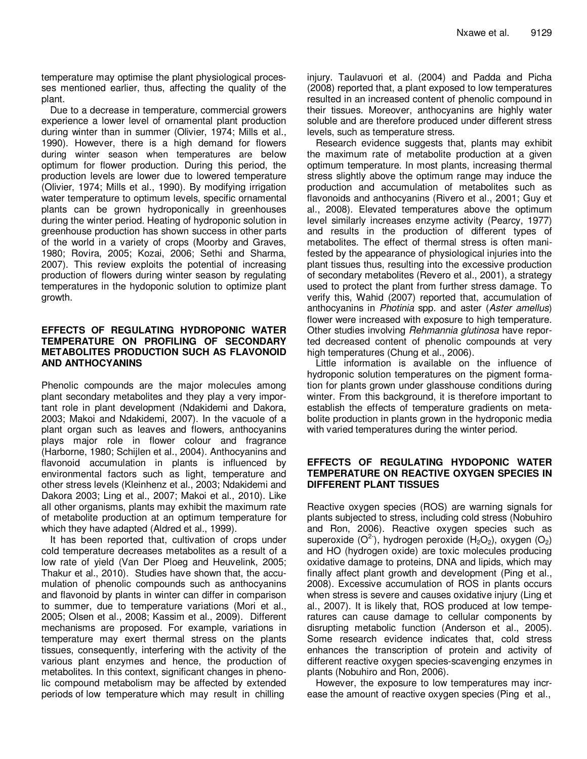temperature may optimise the plant physiological processes mentioned earlier, thus, affecting the quality of the plant.

Due to a decrease in temperature, commercial growers experience a lower level of ornamental plant production during winter than in summer (Olivier, 1974; Mills et al., 1990). However, there is a high demand for flowers during winter season when temperatures are below optimum for flower production. During this period, the production levels are lower due to lowered temperature (Olivier, 1974; Mills et al., 1990). By modifying irrigation water temperature to optimum levels, specific ornamental plants can be grown hydroponically in greenhouses during the winter period. Heating of hydroponic solution in greenhouse production has shown success in other parts of the world in a variety of crops (Moorby and Graves, 1980; Rovira, 2005; Kozai, 2006; Sethi and Sharma, 2007). This review exploits the potential of increasing production of flowers during winter season by regulating temperatures in the hydoponic solution to optimize plant growth.

#### **EFFECTS OF REGULATING HYDROPONIC WATER TEMPERATURE ON PROFILING OF SECONDARY METABOLITES PRODUCTION SUCH AS FLAVONOID AND ANTHOCYANINS**

Phenolic compounds are the major molecules among plant secondary metabolites and they play a very important role in plant development (Ndakidemi and Dakora, 2003; Makoi and Ndakidemi, 2007). In the vacuole of a plant organ such as leaves and flowers, anthocyanins plays major role in flower colour and fragrance (Harborne, 1980; Schijlen et al., 2004). Anthocyanins and flavonoid accumulation in plants is influenced by environmental factors such as light, temperature and other stress levels (Kleinhenz et al., 2003; Ndakidemi and Dakora 2003; Ling et al., 2007; Makoi et al., 2010). Like all other organisms, plants may exhibit the maximum rate of metabolite production at an optimum temperature for which they have adapted (Aldred et al., 1999).

It has been reported that, cultivation of crops under cold temperature decreases metabolites as a result of a low rate of yield (Van Der Ploeg and Heuvelink, 2005; Thakur et al., 2010). Studies have shown that, the accumulation of phenolic compounds such as anthocyanins and flavonoid by plants in winter can differ in comparison to summer, due to temperature variations (Mori et al., 2005; Olsen et al., 2008; Kassim et al., 2009). Different mechanisms are proposed. For example, variations in temperature may exert thermal stress on the plants tissues, consequently, interfering with the activity of the various plant enzymes and hence, the production of metabolites. In this context, significant changes in phenolic compound metabolism may be affected by extended periods of low temperature which may result in chilling

injury. Taulavuori et al. (2004) and Padda and Picha (2008) reported that, a plant exposed to low temperatures resulted in an increased content of phenolic compound in their tissues. Moreover, anthocyanins are highly water soluble and are therefore produced under different stress levels, such as temperature stress.

Research evidence suggests that, plants may exhibit the maximum rate of metabolite production at a given optimum temperature. In most plants, increasing thermal stress slightly above the optimum range may induce the production and accumulation of metabolites such as flavonoids and anthocyanins (Rivero et al*.*, 2001; Guy et al., 2008). Elevated temperatures above the optimum level similarly increases enzyme activity (Pearcy, 1977) and results in the production of different types of metabolites. The effect of thermal stress is often manifested by the appearance of physiological injuries into the plant tissues thus, resulting into the excessive production of secondary metabolites (Revero et al., 2001), a strategy used to protect the plant from further stress damage. To verify this, Wahid (2007) reported that, accumulation of anthocyanins in *Photinia* spp. and aster (*Aster amellus*) flower were increased with exposure to high temperature. Other studies involving *Rehmannia glutinosa* have reported decreased content of phenolic compounds at very high temperatures (Chung et al., 2006).

Little information is available on the influence of hydroponic solution temperatures on the pigment formation for plants grown under glasshouse conditions during winter. From this background, it is therefore important to establish the effects of temperature gradients on metabolite production in plants grown in the hydroponic media with varied temperatures during the winter period.

## **EFFECTS OF REGULATING HYDOPONIC WATER TEMPERATURE ON REACTIVE OXYGEN SPECIES IN DIFFERENT PLANT TISSUES**

Reactive oxygen species (ROS) are warning signals for plants subjected to stress, including cold stress (Nobuhiro and Ron, 2006). Reactive oxygen species such as superoxide  $(O^2)$ , hydrogen peroxide (H<sub>2</sub>O<sub>2</sub>), oxygen (O<sub>2</sub>) and HO (hydrogen oxide) are toxic molecules producing oxidative damage to proteins, DNA and lipids, which may finally affect plant growth and development (Ping et al., 2008). Excessive accumulation of ROS in plants occurs when stress is severe and causes oxidative injury (Ling et al., 2007). It is likely that, ROS produced at low temperatures can cause damage to cellular components by disrupting metabolic function (Anderson et al., 2005). Some research evidence indicates that, cold stress enhances the transcription of protein and activity of different reactive oxygen species-scavenging enzymes in plants (Nobuhiro and Ron, 2006).

However, the exposure to low temperatures may increase the amount of reactive oxygen species (Ping et al.,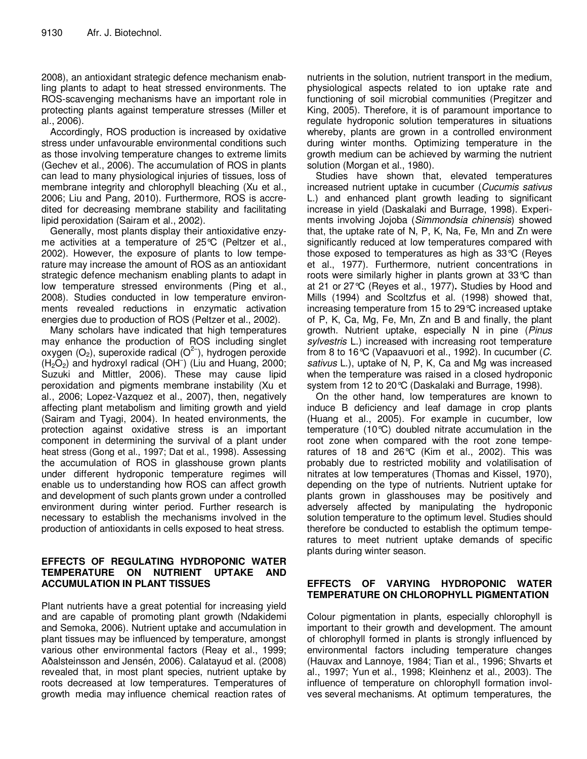2008), an antioxidant strategic defence mechanism enabling plants to adapt to heat stressed environments. The ROS-scavenging mechanisms have an important role in protecting plants against temperature stresses (Miller et al., 2006).

Accordingly, ROS production is increased by oxidative stress under unfavourable environmental conditions such as those involving temperature changes to extreme limits (Gechev et al., 2006). The accumulation of ROS in plants can lead to many physiological injuries of tissues, loss of membrane integrity and chlorophyll bleaching (Xu et al., 2006; Liu and Pang, 2010). Furthermore, ROS is accredited for decreasing membrane stability and facilitating lipid peroxidation (Sairam et al., 2002).

Generally, most plants display their antioxidative enzyme activities at a temperature of 25°C (Peltzer et al., 2002). However, the exposure of plants to low temperature may increase the amount of ROS as an antioxidant strategic defence mechanism enabling plants to adapt in low temperature stressed environments (Ping et al., 2008). Studies conducted in low temperature environments revealed reductions in enzymatic activation energies due to production of ROS (Peltzer et al., 2002).

Many scholars have indicated that high temperatures may enhance the production of ROS including singlet oxygen (O<sub>2</sub>), superoxide radical (O<sup>2-</sup>), hydrogen peroxide  $(H<sub>2</sub>O<sub>2</sub>)$  and hydroxyl radical (OH<sup>-</sup>) (Liu and Huang, 2000; Suzuki and Mittler, 2006). These may cause lipid peroxidation and pigments membrane instability (Xu et al., 2006; Lopez-Vazquez et al., 2007), then, negatively affecting plant metabolism and limiting growth and yield (Sairam and Tyagi, 2004). In heated environments, the protection against oxidative stress is an important component in determining the survival of a plant under heat stress (Gong et al., 1997; Dat et al., 1998). Assessing the accumulation of ROS in glasshouse grown plants under different hydroponic temperature regimes will enable us to understanding how ROS can affect growth and development of such plants grown under a controlled environment during winter period. Further research is necessary to establish the mechanisms involved in the production of antioxidants in cells exposed to heat stress.

## **EFFECTS OF REGULATING HYDROPONIC WATER TEMPERATURE ON NUTRIENT UPTAKE AND ACCUMULATION IN PLANT TISSUES**

Plant nutrients have a great potential for increasing yield and are capable of promoting plant growth (Ndakidemi and Semoka, 2006). Nutrient uptake and accumulation in plant tissues may be influenced by temperature, amongst various other environmental factors (Reay et al., 1999; Aðalsteinsson and Jensén, 2006). Calatayud et al. (2008) revealed that, in most plant species, nutrient uptake by roots decreased at low temperatures. Temperatures of growth media may influence chemical reaction rates of nutrients in the solution, nutrient transport in the medium, physiological aspects related to ion uptake rate and functioning of soil microbial communities (Pregitzer and King, 2005). Therefore, it is of paramount importance to regulate hydroponic solution temperatures in situations whereby, plants are grown in a controlled environment during winter months. Optimizing temperature in the growth medium can be achieved by warming the nutrient solution (Morgan et al., 1980).

Studies have shown that, elevated temperatures increased nutrient uptake in cucumber (*Cucumis sativus* L.) and enhanced plant growth leading to significant increase in yield (Daskalaki and Burrage, 1998). Experiments involving Jojoba (*Simmondsia chinensis*) showed that, the uptake rate of N, P, K, Na, Fe, Mn and Zn were significantly reduced at low temperatures compared with those exposed to temperatures as high as 33°C (Reyes et al., 1977). Furthermore, nutrient concentrations in roots were similarly higher in plants grown at 33°C than at 21 or 27°C (Reyes et al., 1977)**.** Studies by Hood and Mills (1994) and Scoltzfus et al. (1998) showed that, increasing temperature from 15 to 29°C increased uptake of P, K, Ca, Mg, Fe, Mn, Zn and B and finally, the plant growth. Nutrient uptake, especially N in pine (*Pinus sylvestris* L.) increased with increasing root temperature from 8 to 16°C (Vapaavuori et al., 1992). In cucumber (*C. sativus* L.), uptake of N, P, K, Ca and Mg was increased when the temperature was raised in a closed hydroponic system from 12 to 20°C (Daskalaki and Burrage, 1998).

On the other hand, low temperatures are known to induce B deficiency and leaf damage in crop plants (Huang et al., 2005). For example in cucumber, low temperature (10°C) doubled nitrate accumulation in the root zone when compared with the root zone temperatures of 18 and 26°C (Kim et al., 2002). This was probably due to restricted mobility and volatilisation of nitrates at low temperatures (Thomas and Kissel, 1970), depending on the type of nutrients. Nutrient uptake for plants grown in glasshouses may be positively and adversely affected by manipulating the hydroponic solution temperature to the optimum level. Studies should therefore be conducted to establish the optimum temperatures to meet nutrient uptake demands of specific plants during winter season.

# **EFFECTS OF VARYING HYDROPONIC WATER TEMPERATURE ON CHLOROPHYLL PIGMENTATION**

Colour pigmentation in plants, especially chlorophyll is important to their growth and development. The amount of chlorophyll formed in plants is strongly influenced by environmental factors including temperature changes (Hauvax and Lannoye, 1984; Tian et al., 1996; Shvarts et al., 1997; Yun et al., 1998; Kleinhenz et al., 2003). The influence of temperature on chlorophyll formation involves several mechanisms. At optimum temperatures, the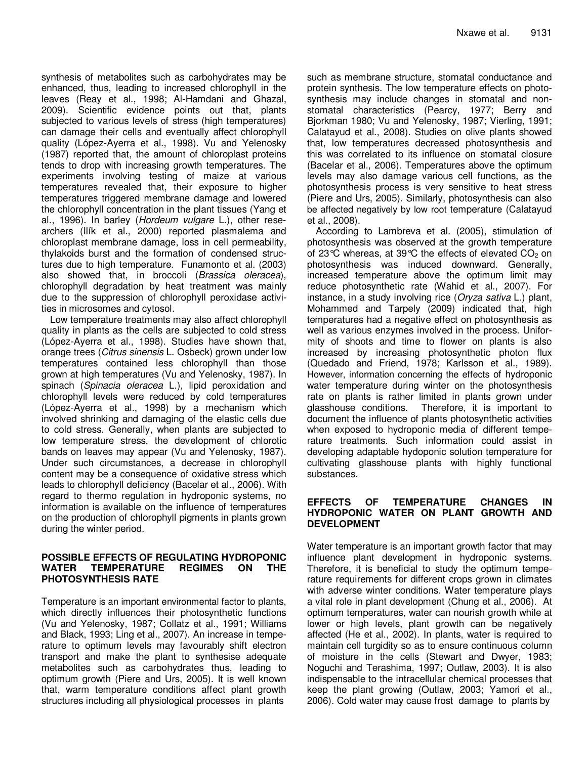synthesis of metabolites such as carbohydrates may be enhanced, thus, leading to increased chlorophyll in the leaves (Reay et al., 1998; Al-Hamdani and Ghazal, 2009). Scientific evidence points out that, plants subjected to various levels of stress (high temperatures) can damage their cells and eventually affect chlorophyll quality (López-Ayerra et al., 1998). Vu and Yelenosky (1987) reported that, the amount of chloroplast proteins tends to drop with increasing growth temperatures. The experiments involving testing of maize at various temperatures revealed that, their exposure to higher temperatures triggered membrane damage and lowered the chlorophyll concentration in the plant tissues (Yang et al., 1996). In barley (*Hordeum vulgare* L.), other researchers (Ilík et al., 2000) reported plasmalema and chloroplast membrane damage, loss in cell permeability, thylakoids burst and the formation of condensed structures due to high temperature. Funamonto et al. (2003) also showed that, in broccoli (*Brassica oleracea*), chlorophyll degradation by heat treatment was mainly due to the suppression of chlorophyll peroxidase activities in microsomes and cytosol.

Low temperature treatments may also affect chlorophyll quality in plants as the cells are subjected to cold stress (López-Ayerra et al., 1998). Studies have shown that, orange trees (*Citrus sinensis* L. Osbeck) grown under low temperatures contained less chlorophyll than those grown at high temperatures (Vu and Yelenosky, 1987). In spinach (*Spinacia oleracea* L.), lipid peroxidation and chlorophyll levels were reduced by cold temperatures (López-Ayerra et al., 1998) by a mechanism which involved shrinking and damaging of the elastic cells due to cold stress. Generally, when plants are subjected to low temperature stress, the development of chlorotic bands on leaves may appear (Vu and Yelenosky, 1987). Under such circumstances, a decrease in chlorophyll content may be a consequence of oxidative stress which leads to chlorophyll deficiency (Bacelar et al., 2006). With regard to thermo regulation in hydroponic systems, no information is available on the influence of temperatures on the production of chlorophyll pigments in plants grown during the winter period.

#### **POSSIBLE EFFECTS OF REGULATING HYDROPONIC WATER TEMPERATURE REGIMES ON THE PHOTOSYNTHESIS RATE**

Temperature is an important environmental factor to plants, which directly influences their photosynthetic functions (Vu and Yelenosky, 1987; Collatz et al., 1991; Williams and Black, 1993; Ling et al., 2007). An increase in temperature to optimum levels may favourably shift electron transport and make the plant to synthesise adequate metabolites such as carbohydrates thus, leading to optimum growth (Piere and Urs, 2005). It is well known that, warm temperature conditions affect plant growth structures including all physiological processes in plants

such as membrane structure, stomatal conductance and protein synthesis. The low temperature effects on photosynthesis may include changes in stomatal and nonstomatal characteristics (Pearcy, 1977; Berry and Bjorkman 1980; Vu and Yelenosky, 1987; Vierling, 1991; Calatayud et al., 2008). Studies on olive plants showed that, low temperatures decreased photosynthesis and this was correlated to its influence on stomatal closure (Bacelar et al., 2006). Temperatures above the optimum levels may also damage various cell functions, as the photosynthesis process is very sensitive to heat stress (Piere and Urs, 2005). Similarly, photosynthesis can also be affected negatively by low root temperature (Calatayud et al., 2008).

According to Lambreva et al. (2005), stimulation of photosynthesis was observed at the growth temperature of 23 °C whereas, at 39 °C the effects of elevated  $CO<sub>2</sub>$  on photosynthesis was induced downward. Generally, increased temperature above the optimum limit may reduce photosynthetic rate (Wahid et al., 2007). For instance, in a study involving rice (*Oryza sativa* L.) plant, Mohammed and Tarpely (2009) indicated that, high temperatures had a negative effect on photosynthesis as well as various enzymes involved in the process. Uniformity of shoots and time to flower on plants is also increased by increasing photosynthetic photon flux (Quedado and Friend, 1978; Karlsson et al., 1989). However, information concerning the effects of hydroponic water temperature during winter on the photosynthesis rate on plants is rather limited in plants grown under glasshouse conditions. Therefore, it is important to document the influence of plants photosynthetic activities when exposed to hydroponic media of different temperature treatments*.* Such information could assist in developing adaptable hydoponic solution temperature for cultivating glasshouse plants with highly functional substances.

## **EFFECTS OF TEMPERATURE CHANGES IN HYDROPONIC WATER ON PLANT GROWTH AND DEVELOPMENT**

Water temperature is an important growth factor that may influence plant development in hydroponic systems. Therefore, it is beneficial to study the optimum temperature requirements for different crops grown in climates with adverse winter conditions. Water temperature plays a vital role in plant development (Chung et al., 2006). At optimum temperatures, water can nourish growth while at lower or high levels, plant growth can be negatively affected (He et al., 2002). In plants, water is required to maintain cell turgidity so as to ensure continuous column of moisture in the cells (Stewart and Dwyer, 1983; Noguchi and Terashima, 1997; Outlaw, 2003). It is also indispensable to the intracellular chemical processes that keep the plant growing (Outlaw, 2003; Yamori et al., 2006). Cold water may cause frost damage to plants by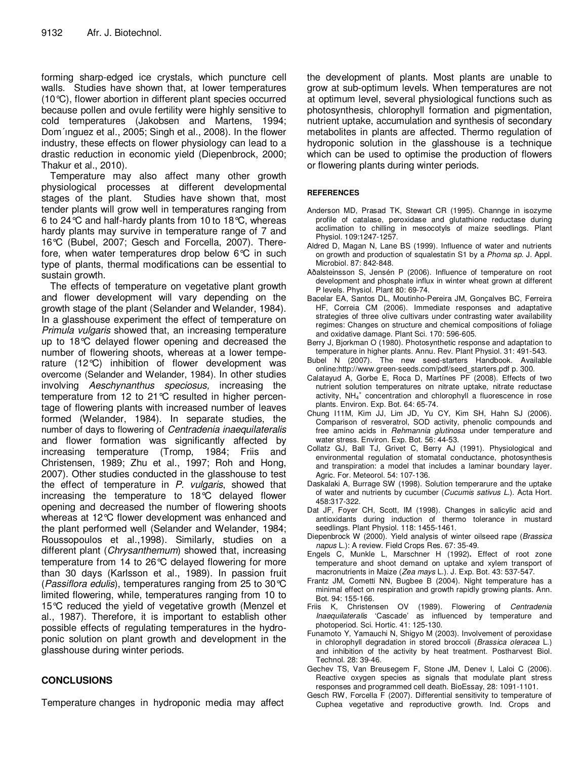forming sharp-edged ice crystals, which puncture cell walls. Studies have shown that, at lower temperatures (10°C), flower abortion in different plant species occurred because pollen and ovule fertility were highly sensitive to cold temperatures (Jakobsen and Martens, 1994; Dom´ınguez et al., 2005; Singh et al., 2008). In the flower industry, these effects on flower physiology can lead to a drastic reduction in economic yield (Diepenbrock, 2000; Thakur et al., 2010).

Temperature may also affect many other growth physiological processes at different developmental stages of the plant. Studies have shown that, most tender plants will grow well in temperatures ranging from 6 to 24°C and half-hardy plants from 10 to 18°C, whereas hardy plants may survive in temperature range of 7 and 16°C (Bubel, 2007; Gesch and Forcella, 2007). Therefore, when water temperatures drop below 6°C in such type of plants, thermal modifications can be essential to sustain growth.

The effects of temperature on vegetative plant growth and flower development will vary depending on the growth stage of the plant (Selander and Welander, 1984). In a glasshouse experiment the effect of temperature on *Primula vulgaris* showed that, an increasing temperature up to 18°C delayed flower opening and decreased the number of flowering shoots, whereas at a lower temperature (12°C) inhibition of flower development was overcome (Selander and Welander, 1984). In other studies involving *Aeschynanthus speciosus,* increasing the temperature from 12 to 21°C resulted in higher percentage of flowering plants with increased number of leaves formed (Welander, 1984). In separate studies, the number of days to flowering of *Centradenia inaequilateralis* and flower formation was significantly affected by increasing temperature (Tromp, 1984; Friis and Christensen, 1989; Zhu et al., 1997; Roh and Hong, 2007). Other studies conducted in the glasshouse to test the effect of temperature in *P. vulgaris*, showed that increasing the temperature to 18°C delayed flower opening and decreased the number of flowering shoots whereas at 12°C flower development was enhanced and the plant performed well (Selander and Welander, 1984; Roussopoulos et al.,1998). Similarly, studies on a different plant (*Chrysanthemum*) showed that, increasing temperature from 14 to 26°C delayed flowering for more than 30 days (Karlsson et al., 1989). In passion fruit (*Passiflora edulis*), temperatures ranging from 25 to 30°C limited flowering, while, temperatures ranging from 10 to 15°C reduced the yield of vegetative growth (Menzel et al., 1987). Therefore, it is important to establish other possible effects of regulating temperatures in the hydroponic solution on plant growth and development in the glasshouse during winter periods.

#### **CONCLUSIONS**

Temperature changes in hydroponic media may affect

the development of plants. Most plants are unable to grow at sub-optimum levels. When temperatures are not at optimum level, several physiological functions such as photosynthesis, chlorophyll formation and pigmentation, nutrient uptake, accumulation and synthesis of secondary metabolites in plants are affected. Thermo regulation of hydroponic solution in the glasshouse is a technique which can be used to optimise the production of flowers or flowering plants during winter periods.

#### **REFERENCES**

- Anderson MD, Prasad TK, Stewart CR (1995). Channge in isozyme profile of catalase, peroxidase and glutathione reductase during acclimation to chilling in mesocotyls of maize seedlings. Plant Physiol. 109:1247-1257.
- Aldred D, Magan N, Lane BS (1999). Influence of water and nutrients on growth and production of squalestatin S1 by a *Phoma sp.* J. Appl. Microbiol. 87: 842-848.
- Aðalsteinsson S, Jensén P (2006). Influence of temperature on root development and phosphate influx in winter wheat grown at different P levels. Physiol. Plant 80: 69-74.
- Bacelar EA, Santos DL, Moutinho-Pereira JM, Gonçalves BC, Ferreira HF, Correia CM (2006). Immediate responses and adaptative strategies of three olive cultivars under contrasting water availability regimes: Changes on structure and chemical compositions of foliage and oxidative damage. Plant Sci. 170: 596-605.
- Berry J, Bjorkman O (1980). Photosynthetic response and adaptation to temperature in higher plants. Annu. Rev. Plant Physiol. 31: 491-543.
- Bubel N (2007). The new seed-starters Handbook. Available online:http://www.green-seeds.com/pdf/seed\_starters.pdf p. 300.
- Calatayud A, Gorbe E, Roca D, Martínes PF (2008). Effects of two nutrient solution temperatures on nitrate uptake, nitrate reductase activity, NH<sub>4</sub><sup>+</sup> concentration and chlorophyll a fluorescence in rose plants. Environ. Exp. Bot. 64: 65-74.
- Chung I11M, Kim JJ, Lim JD, Yu CY, Kim SH, Hahn SJ (2006). Comparison of resveratrol, SOD activity, phenolic compounds and free amino acids in *Rehmannia glutinosa* under temperature and water stress. Environ. Exp. Bot. 56: 44-53.
- Collatz GJ, Ball TJ, Grivet C, Berry AJ (1991). Physiological and environmental regulation of stomatal conductance, photosynthesis and transpiration: a model that includes a laminar boundary layer. Agric. For. Meteorol. 54: 107-136.
- Daskalaki A, Burrage SW (1998). Solution temperarure and the uptake of water and nutrients by cucumber (*Cucumis sativus L*.). Acta Hort. 458:317-322.
- Dat JF, Foyer CH, Scott, IM (1998). Changes in salicylic acid and antioxidants during induction of thermo tolerance in mustard seedlings. Plant Physiol. 118: 1455-1461.
- Diepenbrock W (2000). Yield analysis of winter oilseed rape (*Brassica napus* L.): A review. Field Crops Res. 67: 35-49.
- Engels C, Munkle L, Marschner H (1992)**.** Effect of root zone temperature and shoot demand on uptake and xylem transport of macronutrients in Maize (*Zea mays* L.). J. Exp. Bot. 43: 537-547.
- Frantz JM, Cometti NN, Bugbee B (2004). Night temperature has a minimal effect on respiration and growth rapidly growing plants. Ann.
- Bot. 94: 155-166.<br>Friis K, Christensen OV (1989). Flowering of *Centradenia Inaequilateralis* 'Cascade' as influenced by temperature and photoperiod. Sci. Hortic. 41: 125-130.
- Funamoto Y, Yamauchi N, Shigyo M (2003). Involvement of peroxidase in chlorophyll degradation in stored broccoli (*Brassica oleracea* L.) and inhibition of the activity by heat treatment. Postharvest Biol. Technol. 28: 39-46.
- Gechev TS, Van Breusegem F, Stone JM, Denev I, Laloi C (2006). Reactive oxygen species as signals that modulate plant stress responses and programmed cell death. BioEssay, 28: 1091-1101.
- Gesch RW, Forcella F (2007). Differential sensitivity to temperature of Cuphea vegetative and reproductive growth. Ind. Crops and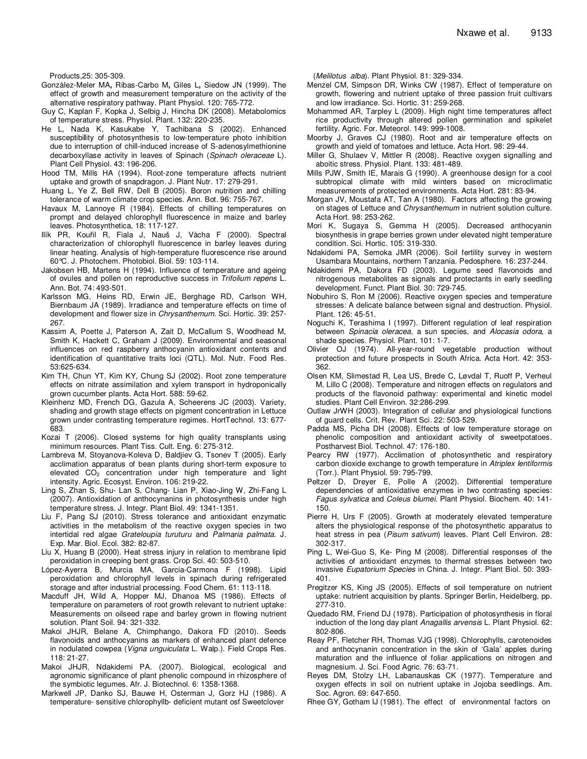Products,25: 305-309.

- Gonzàlez-Meler MA**,** Ribas-Carbo M**,** Giles L**,** Siedow JN (1999). The effect of growth and measurement temperature on the activity of the alternative respiratory pathway. Plant Physiol. 120: 765-772.
- Guy C, Kaplan F, Kopka J, Selbig J, Hincha DK (2008). Metabolomics of temperature stress. Physiol. Plant. 132: 220-235.
- He L, Nada K, Kasukabe Y, Tachibana S (2002). Enhanced susceptibi**l**ity of photosynthesis to low-temperature photo inhibition due to interruption of chill-induced increase of S-adenosylmethionine decarboxyllase activity in leaves of Spinach (*Spinach oleraceae* L)*.* Plant Cell Physiol. 43: 196-206.
- Hood TM, Mills HA (1994). Root-zone temperature affects nutrient uptake and growth of snapdragon. J. Plant Nutr. 17: 279-291.
- Huang L, Ye Z, Bell RW, Dell B (2005). Boron nutrition and chilling tolerance of warm climate crop species. Ann. Bot. 96: 755-767.
- Havaux M, Lannoye R (1984). Effects of chilling temperatures on prompt and delayed chlorophyll fluorescence in maize and barley leaves. Photosynthetica, 18: 117-127.
- Ilík PR, Kouřil R, Fiala J, Nauš J, Vàcha F (2000). Spectral characterization of chlorophyll fluorescence in barley leaves during linear heating. Analysis of high-temperature fluorescence rise around 60°C. J. Photochem. Photobiol. Biol. 59: 103-114.
- Jakobsen HB, Martens H (1994). Influence of temperature and ageing of ovules and pollen on reproductive success in *Trifolium repens* L. Ann. Bot. 74: 493-501.
- Karlsson MG, Heins RD, Erwin JE, Berghage RD, Carlson WH, Biernbaum JA (1989). Irradiance and temperature effects on time of development and flower size in *Chrysanthemum.* Sci. Hortic. 39: 257- 267.
- Kassim A, Poette J, Paterson A, Zait D, McCallum S, Woodhead M, Smith K, Hackett C, Graham J (2009). Environmental and seasonal influences on red raspberry anthocyanin antioxidant contents and identification of quantitative traits loci (QTL). Mol. Nutr. Food Res. 53:625-634.
- Kim TH, Chun YT, Kim KY, Chung SJ (2002). Root zone temperature effects on nitrate assimilation and xylem transport in hydroponically grown cucumber plants. Acta Hort. 588: 59-62.
- Kleinhenz MD, French DG, Gazula A, Scheerens JC (2003). Variety, shading and growth stage effects on pigment concentration in Lettuce grown under contrasting temperature regimes. HortTechnol. 13: 677- 683.
- Kozai T (2006). Closed systems for high quality transplants using minimum resources. Plant Tiss. Cult. Eng. 6: 275-312.
- Lambreva M, Stoyanova-Koleva D, Baldjiev G, Tsonev T (2005). Early acclimation apparatus of bean plants during short-term exposure to elevated CO<sub>2</sub> concentration under high temperature and light intensity. Agric. Ecosyst. Environ. 106: 219-22.
- Ling S, Zhan S, Shu- Lan S, Chang- Lian P, Xiao-Jing W, Zhi-Fang L (2007). Antioxidation of anthocynanins in photosynthesis under high temperature stress. J. Integr. Plant Biol. 49: 1341-1351.
- Liu F, Pang SJ (2010). Stress tolerance and antioxidant enzymatic activities in the metabolism of the reactive oxygen species in two intertidal red algae *Grateloupia turuturu* and *Palmaria palmata*. J. Exp. Mar. Biol. Ecol. 382: 82-87.
- Liu X, Huang B (2000). Heat stress injury in relation to membrane lipid peroxidation in creeping bent grass. Crop Sci*.* 40: 503-510.
- López-Ayerra B, Murcia MA, Garcia-Carmona F (1998). Lipid peroxidation and chlorophyll levels in spinach during refrigerated storage and after industrial processing. Food Chem. 61: 113-118.
- Macduff JH, Wild A, Hopper MJ, Dhanoa MS (1986). Effects of temperature on parameters of root growth relevant to nutrient uptake: Measurements on oilseed rape and barley grown in flowing nutrient solution. Plant Soil. 94: 321-332.
- Makoi JHJR, Belane A, Chimphango, Dakora FD (2010). Seeds flavonoids and anthocyanins as markers of enhanced plant defence in nodulated cowpea (*Vigna unguiculata* L. Walp.). Field Crops Res. 118: 21-27.
- Makoi JHJR, Ndakidemi PA. (2007). Biological, ecological and agronomic significance of plant phenolic compound in rhizosphere of the symbiotic legumes. Afr. J. Biotechnol. 6: 1358-1368.
- Markwell JP, Danko SJ, Bauwe H, Osterman J, Gorz HJ (1986). A temperature- sensitive chlorophyllb- deficient mutant osf Sweetclover

(*Melilotus alba*). Plant Physiol. 81: 329-334.

- Menzel CM, Simpson DR, Winks CW (1987). Effect of temperature on growth, flowering and nutrient uptake of three passion fruit cultivars and low irradiance. Sci. Hortic. 31: 259-268.
- Mohammed AR, Tarpley L (2009). High night time temperatures affect rice productivity through altered pollen germination and spikelet fertility. Agric. For. Meteorol*.* 149: 999-1008.
- Moorby J, Graves CJ (1980). Root and air temperature effects on growth and yield of tomatoes and lettuce. Acta Hort. 98: 29-44.
- Miller G, Shulaev V, Mittler R (2008). Reactive oxygen signalling and aboitic stress. Physiol. Plant. 133: 481-489.
- Mills PJW, Smith IE, Marais G (1990). A greenhouse design for a cool subtropical climate with mild winters based on microclimatic measurements of protected environments. Acta Hort. 281: 83-94.
- Morgan JV, Moustafa AT, Tan A (1980). Factors affecting the growing on stages of Lettuce and *Chrysanthemum* in nutrient solution culture. Acta Hort. 98: 253-262.
- Mori K, Sugaya S, Gemma H (2005). Decreased anthocyanin biosynthesis in grape berries grown under elevated night temperature condition. Sci. Hortic. 105: 319-330.
- Ndakidemi PA, Semoka JMR (2006). Soil fertility survey in western Usambara Mountains, northern Tanzania. Pedosphere. 16: 237-244.
- Ndakidemi PA, Dakora FD (2003). Legume seed flavonoids and nitrogenous metabolites as signals and protectants in early seedling development. Funct. Plant Biol. 30: 729-745.
- Nobuhiro S, Ron M (2006). Reactive oxygen species and temperature stresses: A delicate balance between signal and destruction. Physiol. Plant. 126: 45-51.
- Noguchi K, Terashima I (1997). Different regulation of leaf respiration between *Spinacia oleracea*, a sun species, and *Alocasia odora*, a shade species. Physiol. Plant. 101: 1-7.
- Olivier OJ (1974). All-year-round vegetable production without protection and future prospects in South Africa. Acta Hort. 42: 353- 362.
- Olsen KM, Slimestad R, Lea US, Brede C, Løvdal T, Ruoff P, Verheul M, Lillo C (2008). Temperature and nitrogen effects on regulators and products of the flavonoid pathway: experimental and kinetic model studies. Plant Cell Environ. 32:286-299.
- Outlaw JrWH (2003). Integration of cellular and physiological functions of guard cells. Crit. Rev. Plant Sci. 22: 503-529.
- Padda MS, Picha DH (2008). Effects of low temperature storage on phenolic composition and antioxidant activity of sweetpotatoes. Postharvest Biol. Technol. 47: 176-180.
- Pearcy RW (1977). Acclimation of photosynthetic and respiratory carbon dioxide exchange to growth temperature in *Atriplex lentiformis* (Torr.). Plant Physiol. 59: 795-799.
- Peltzer D, Dreyer E, Polle A (2002). Differential temperature dependencies of antioxidative enzymes in two contrasting species: *Fagus sylvatica* and *Coleus blumei*. Plant Physiol. Biochem. 40: 141- 150.
- Pierre H, Urs F (2005). Growth at moderately elevated temperature alters the physiological response of the photosynthetic apparatus to heat stress in pea (*Pisum sativum*) leaves. Plant Cell Environ. 28: 302-317.
- Ping L, Wei-Guo S, Ke- Ping M (2008). Differential responses of the activities of antioxidant enzymes to thermal stresses between two invasive *Eupatorium Species* in China. J. Integr. Plant Biol. 50: 393- 401.
- Pregitzer KS, King JS (2005). Effects of soil temperature on nutrient uptake: nutrient acquisition by plants. Springer Berlin, Heidelberg, pp. 277-310.
- Quedado RM, Friend DJ (1978). Participation of photosynthesis in floral induction of the long day plant *Anagallis arvensis* L. Plant Physiol. 62: 802-806.
- Reay PF, Fletcher RH, Thomas VJG (1998). Chlorophylls, carotenoides and anthocynanin concentration in the skin of 'Gala' apples during maturation and the influence of foliar applications on nitrogen and magnesium. J. Sci. Food Agric. 76: 63-71.
- Reyes DM, Stolzy LH, Labanauskas CK (1977). Temperature and oxygen effects in soil on nutrient uptake in Jojoba seedlings. Am. Soc. Agron. 69: 647-650.
- Rhee GY, Gotham IJ (1981). The effect of environmental factors on